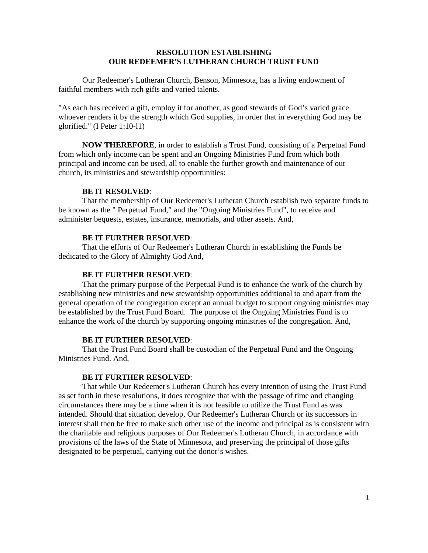### **RESOLUTION ESTABLISHING OUR REDEEMER'S LUTHERAN CHURCH TRUST FUND**

Our Redeemer's Lutheran Church, Benson, Minnesota, has a living endowment of faithful members with rich gifts and varied talents.

"As each has received a gift, employ it for another, as good stewards of God's varied grace whoever renders it by the strength which God supplies, in order that in everything God may be glorified." (I Peter 1:10-l1)

**NOW THEREFORE**, in order to establish a Trust Fund, consisting of a Perpetual Fund from which only income can be spent and an Ongoing Ministries Fund from which both principal and income can be used, all to enable the further growth and maintenance of our church, its ministries and stewardship opportunities:

### **BE IT RESOLVED**:

That the membership of Our Redeemer's Lutheran Church establish two separate funds to be known as the " Perpetual Fund," and the "Ongoing Ministries Fund", to receive and administer bequests, estates, insurance, memorials, and other assets. And,

### **BE IT FURTHER RESOLVED**:

That the efforts of Our Redeemer's Lutheran Church in establishing the Funds be dedicated to the Glory of Almighty God And,

### **BE IT FURTHER RESOLVED**:

That the primary purpose of the Perpetual Fund is to enhance the work of the church by establishing new ministries and new stewardship opportunities additional to and apart from the general operation of the congregation except an annual budget to support ongoing ministries may be established by the Trust Fund Board. The purpose of the Ongoing Ministries Fund is to enhance the work of the church by supporting ongoing ministries of the congregation. And,

#### **BE IT FURTHER RESOLVED**:

That the Trust Fund Board shall be custodian of the Perpetual Fund and the Ongoing Ministries Fund. And,

### **BE IT FURTHER RESOLVED**:

That while Our Redeemer's Lutheran Church has every intention of using the Trust Fund as set forth in these resolutions, it does recognize that with the passage of time and changing circumstances there may be a time when it is not feasible to utilize the Trust Fund as was intended. Should that situation develop, Our Redeemer's Lutheran Church or its successors in interest shall then be free to make such other use of the income and principal as is consistent with the charitable and religious purposes of Our Redeemer's Lutheran Church, in accordance with provisions of the laws of the State of Minnesota, and preserving the principal of those gifts designated to be perpetual, carrying out the donor's wishes.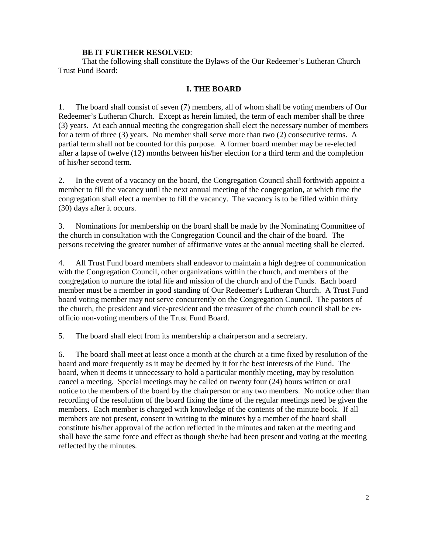### **BE IT FURTHER RESOLVED**:

That the following shall constitute the Bylaws of the Our Redeemer's Lutheran Church Trust Fund Board:

### **I. THE BOARD**

1. The board shall consist of seven (7) members, all of whom shall be voting members of Our Redeemer's Lutheran Church. Except as herein limited, the term of each member shall be three (3) years. At each annual meeting the congregation shall elect the necessary number of members for a term of three (3) years. No member shall serve more than two (2) consecutive terms. A partial term shall not be counted for this purpose. A former board member may be re-elected after a lapse of twelve (12) months between his/her election for a third term and the completion of his/her second term.

2. In the event of a vacancy on the board, the Congregation Council shall forthwith appoint a member to fill the vacancy until the next annual meeting of the congregation, at which time the congregation shall elect a member to fill the vacancy. The vacancy is to be filled within thirty (30) days after it occurs.

3. Nominations for membership on the board shall be made by the Nominating Committee of the church in consultation with the Congregation Council and the chair of the board. The persons receiving the greater number of affirmative votes at the annual meeting shall be elected.

4. All Trust Fund board members shall endeavor to maintain a high degree of communication with the Congregation Council, other organizations within the church, and members of the congregation to nurture the total life and mission of the church and of the Funds. Each board member must be a member in good standing of Our Redeemer's Lutheran Church. A Trust Fund board voting member may not serve concurrently on the Congregation Council. The pastors of the church, the president and vice-president and the treasurer of the church council shall be exofficio non-voting members of the Trust Fund Board.

5. The board shall elect from its membership a chairperson and a secretary.

6. The board shall meet at least once a month at the church at a time fixed by resolution of the board and more frequently as it may be deemed by it for the best interests of the Fund. The board, when it deems it unnecessary to hold a particular monthly meeting, may by resolution cancel a meeting. Special meetings may be called on twenty four (24) hours written or ora1 notice to the members of the board by the chairperson or any two members. No notice other than recording of the resolution of the board fixing the time of the regular meetings need be given the members. Each member is charged with knowledge of the contents of the minute book. If all members are not present, consent in writing to the minutes by a member of the board shall constitute his/her approval of the action reflected in the minutes and taken at the meeting and shall have the same force and effect as though she/he had been present and voting at the meeting reflected by the minutes.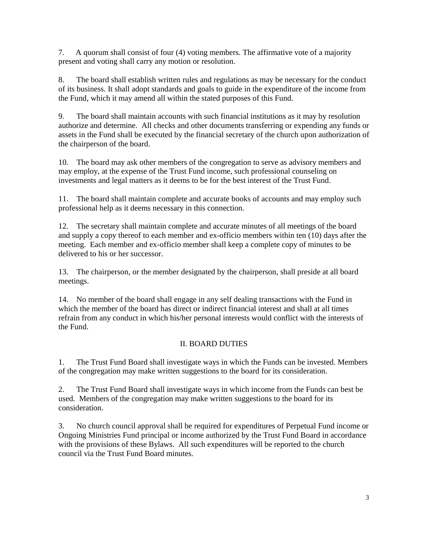7. A quorum shall consist of four (4) voting members. The affirmative vote of a majority present and voting shall carry any motion or resolution.

8. The board shall establish written rules and regulations as may be necessary for the conduct of its business. It shall adopt standards and goals to guide in the expenditure of the income from the Fund, which it may amend all within the stated purposes of this Fund.

9. The board shall maintain accounts with such financial institutions as it may by resolution authorize and determine. All checks and other documents transferring or expending any funds or assets in the Fund shall be executed by the financial secretary of the church upon authorization of the chairperson of the board.

10. The board may ask other members of the congregation to serve as advisory members and may employ, at the expense of the Trust Fund income, such professional counseling on investments and legal matters as it deems to be for the best interest of the Trust Fund.

11. The board shall maintain complete and accurate books of accounts and may employ such professional help as it deems necessary in this connection.

12. The secretary shall maintain complete and accurate minutes of all meetings of the board and supply a copy thereof to each member and ex-officio members within ten (10) days after the meeting. Each member and ex-officio member shall keep a complete copy of minutes to be delivered to his or her successor.

13. The chairperson, or the member designated by the chairperson, shall preside at all board meetings.

14. No member of the board shall engage in any self dealing transactions with the Fund in which the member of the board has direct or indirect financial interest and shall at all times refrain from any conduct in which his/her personal interests would conflict with the interests of the Fund.

# II. BOARD DUTIES

1. The Trust Fund Board shall investigate ways in which the Funds can be invested. Members of the congregation may make written suggestions to the board for its consideration.

2. The Trust Fund Board shall investigate ways in which income from the Funds can best be used. Members of the congregation may make written suggestions to the board for its consideration.

3. No church council approval shall be required for expenditures of Perpetual Fund income or Ongoing Ministries Fund principal or income authorized by the Trust Fund Board in accordance with the provisions of these Bylaws. All such expenditures will be reported to the church council via the Trust Fund Board minutes.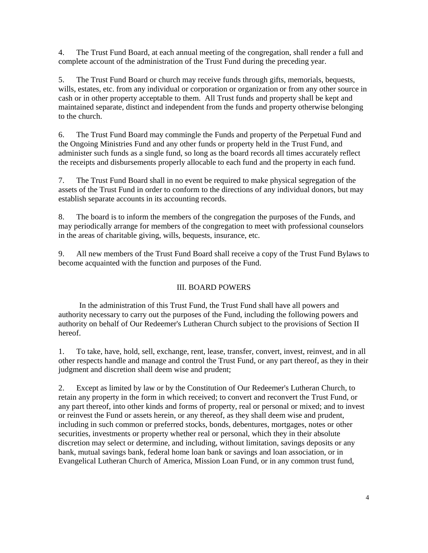4. The Trust Fund Board, at each annual meeting of the congregation, shall render a full and complete account of the administration of the Trust Fund during the preceding year.

5. The Trust Fund Board or church may receive funds through gifts, memorials, bequests, wills, estates, etc. from any individual or corporation or organization or from any other source in cash or in other property acceptable to them. All Trust funds and property shall be kept and maintained separate, distinct and independent from the funds and property otherwise belonging to the church.

6. The Trust Fund Board may commingle the Funds and property of the Perpetual Fund and the Ongoing Ministries Fund and any other funds or property held in the Trust Fund, and administer such funds as a single fund, so long as the board records all times accurately reflect the receipts and disbursements properly allocable to each fund and the property in each fund.

7. The Trust Fund Board shall in no event be required to make physical segregation of the assets of the Trust Fund in order to conform to the directions of any individual donors, but may establish separate accounts in its accounting records.

8. The board is to inform the members of the congregation the purposes of the Funds, and may periodically arrange for members of the congregation to meet with professional counselors in the areas of charitable giving, wills, bequests, insurance, etc.

9. All new members of the Trust Fund Board shall receive a copy of the Trust Fund Bylaws to become acquainted with the function and purposes of the Fund.

## III. BOARD POWERS

In the administration of this Trust Fund, the Trust Fund shall have all powers and authority necessary to carry out the purposes of the Fund, including the following powers and authority on behalf of Our Redeemer's Lutheran Church subject to the provisions of Section II hereof.

1. To take, have, hold, sell, exchange, rent, lease, transfer, convert, invest, reinvest, and in all other respects handle and manage and control the Trust Fund, or any part thereof, as they in their judgment and discretion shall deem wise and prudent;

2. Except as limited by law or by the Constitution of Our Redeemer's Lutheran Church, to retain any property in the form in which received; to convert and reconvert the Trust Fund, or any part thereof, into other kinds and forms of property, real or personal or mixed; and to invest or reinvest the Fund or assets herein, or any thereof, as they shall deem wise and prudent, including in such common or preferred stocks, bonds, debentures, mortgages, notes or other securities, investments or property whether real or personal, which they in their absolute discretion may select or determine, and including, without limitation, savings deposits or any bank, mutual savings bank, federal home loan bank or savings and loan association, or in Evangelical Lutheran Church of America, Mission Loan Fund, or in any common trust fund,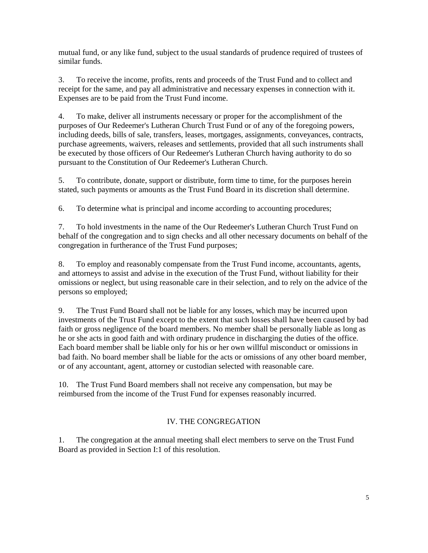mutual fund, or any like fund, subject to the usual standards of prudence required of trustees of similar funds.

3. To receive the income, profits, rents and proceeds of the Trust Fund and to collect and receipt for the same, and pay all administrative and necessary expenses in connection with it. Expenses are to be paid from the Trust Fund income.

4. To make, deliver all instruments necessary or proper for the accomplishment of the purposes of Our Redeemer's Lutheran Church Trust Fund or of any of the foregoing powers, including deeds, bills of sale, transfers, leases, mortgages, assignments, conveyances, contracts, purchase agreements, waivers, releases and settlements, provided that all such instruments shall be executed by those officers of Our Redeemer's Lutheran Church having authority to do so pursuant to the Constitution of Our Redeemer's Lutheran Church.

5. To contribute, donate, support or distribute, form time to time, for the purposes herein stated, such payments or amounts as the Trust Fund Board in its discretion shall determine.

6. To determine what is principal and income according to accounting procedures;

7. To hold investments in the name of the Our Redeemer's Lutheran Church Trust Fund on behalf of the congregation and to sign checks and all other necessary documents on behalf of the congregation in furtherance of the Trust Fund purposes;

8. To employ and reasonably compensate from the Trust Fund income, accountants, agents, and attorneys to assist and advise in the execution of the Trust Fund, without liability for their omissions or neglect, but using reasonable care in their selection, and to rely on the advice of the persons so employed;

9. The Trust Fund Board shall not be liable for any losses, which may be incurred upon investments of the Trust Fund except to the extent that such losses shall have been caused by bad faith or gross negligence of the board members. No member shall be personally liable as long as he or she acts in good faith and with ordinary prudence in discharging the duties of the office. Each board member shall be liable only for his or her own willful misconduct or omissions in bad faith. No board member shall be liable for the acts or omissions of any other board member, or of any accountant, agent, attorney or custodian selected with reasonable care.

10. The Trust Fund Board members shall not receive any compensation, but may be reimbursed from the income of the Trust Fund for expenses reasonably incurred.

# IV. THE CONGREGATION

1. The congregation at the annual meeting shall elect members to serve on the Trust Fund Board as provided in Section I:1 of this resolution.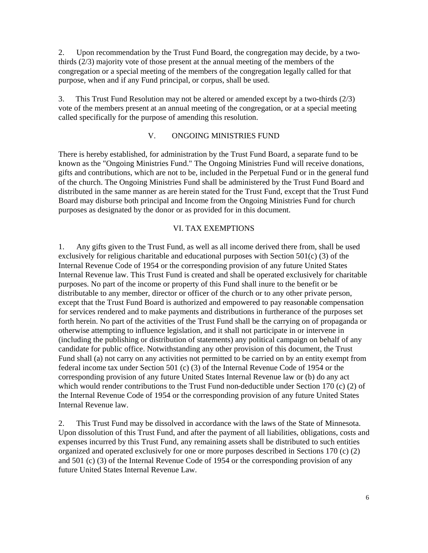2. Upon recommendation by the Trust Fund Board, the congregation may decide, by a twothirds (2/3) majority vote of those present at the annual meeting of the members of the congregation or a special meeting of the members of the congregation legally called for that purpose, when and if any Fund principal, or corpus, shall be used.

3. This Trust Fund Resolution may not be altered or amended except by a two-thirds (2/3) vote of the members present at an annual meeting of the congregation, or at a special meeting called specifically for the purpose of amending this resolution.

## V. ONGOING MINISTRIES FUND

There is hereby established, for administration by the Trust Fund Board, a separate fund to be known as the "Ongoing Ministries Fund." The Ongoing Ministries Fund will receive donations, gifts and contributions, which are not to be, included in the Perpetual Fund or in the general fund of the church. The Ongoing Ministries Fund shall be administered by the Trust Fund Board and distributed in the same manner as are herein stated for the Trust Fund, except that the Trust Fund Board may disburse both principal and Income from the Ongoing Ministries Fund for church purposes as designated by the donor or as provided for in this document.

#### VI. TAX EXEMPTIONS

1. Any gifts given to the Trust Fund, as well as all income derived there from, shall be used exclusively for religious charitable and educational purposes with Section 501(c) (3) of the Internal Revenue Code of 1954 or the corresponding provision of any future United States Internal Revenue law. This Trust Fund is created and shall be operated exclusively for charitable purposes. No part of the income or property of this Fund shall inure to the benefit or be distributable to any member, director or officer of the church or to any other private person, except that the Trust Fund Board is authorized and empowered to pay reasonable compensation for services rendered and to make payments and distributions in furtherance of the purposes set forth herein. No part of the activities of the Trust Fund shall be the carrying on of propaganda or otherwise attempting to influence legislation, and it shall not participate in or intervene in (including the publishing or distribution of statements) any political campaign on behalf of any candidate for public office. Notwithstanding any other provision of this document, the Trust Fund shall (a) not carry on any activities not permitted to be carried on by an entity exempt from federal income tax under Section 501 (c) (3) of the Internal Revenue Code of 1954 or the corresponding provision of any future United States Internal Revenue law or (b) do any act which would render contributions to the Trust Fund non-deductible under Section 170 (c) (2) of the Internal Revenue Code of 1954 or the corresponding provision of any future United States Internal Revenue law.

2. This Trust Fund may be dissolved in accordance with the laws of the State of Minnesota. Upon dissolution of this Trust Fund, and after the payment of all liabilities, obligations, costs and expenses incurred by this Trust Fund, any remaining assets shall be distributed to such entities organized and operated exclusively for one or more purposes described in Sections 170 (c) (2) and 501 (c) (3) of the Internal Revenue Code of 1954 or the corresponding provision of any future United States Internal Revenue Law.